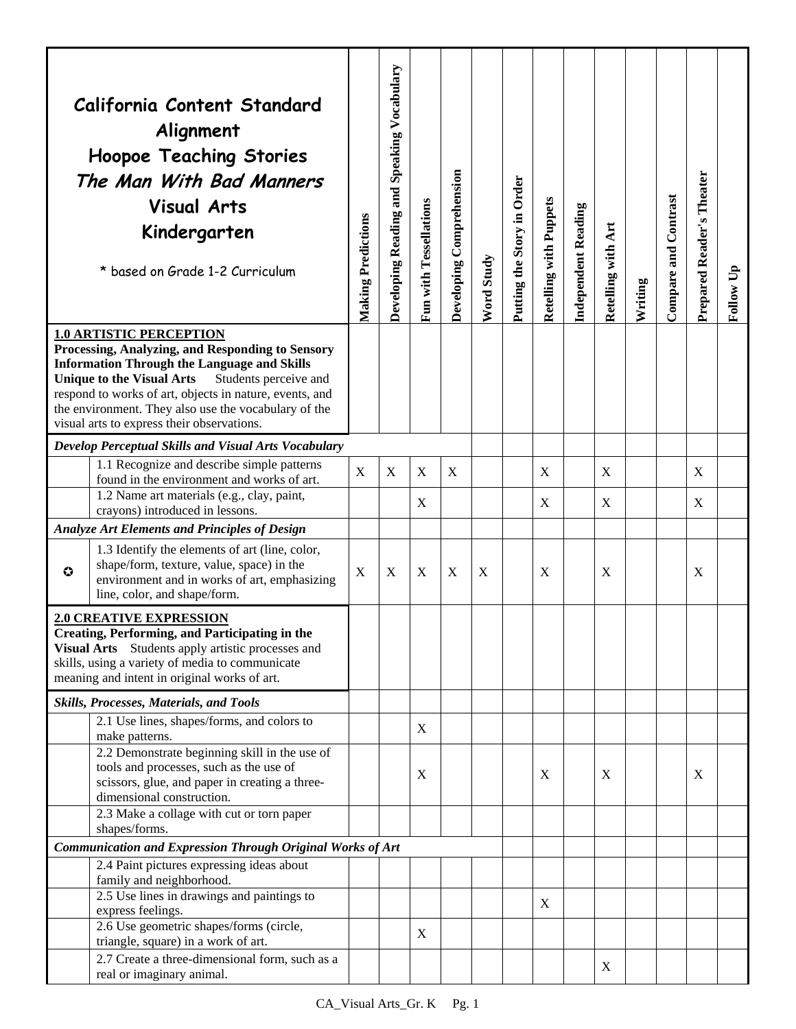|                                                                                                                                                                                                                                                 | California Content Standard<br>Alignment<br><b>Hoopoe Teaching Stories</b><br>The Man With Bad Manners<br><b>Visual Arts</b><br>Kindergarten<br>* based on Grade 1-2 Curriculum                                                                                                                                                                                        | <b>Making Predictions</b> | Speaking Vocabulary<br>Developing Reading and | Fun with Tessellations | Developing Comprehension | <b>Word Study</b> | Putting the Story in Order | <b>Retelling with Puppets</b> | Independent Reading | Retelling with Art | Writing | Compare and Contrast | Prepared Reader's Theater | Follow Up |
|-------------------------------------------------------------------------------------------------------------------------------------------------------------------------------------------------------------------------------------------------|------------------------------------------------------------------------------------------------------------------------------------------------------------------------------------------------------------------------------------------------------------------------------------------------------------------------------------------------------------------------|---------------------------|-----------------------------------------------|------------------------|--------------------------|-------------------|----------------------------|-------------------------------|---------------------|--------------------|---------|----------------------|---------------------------|-----------|
|                                                                                                                                                                                                                                                 | <b>1.0 ARTISTIC PERCEPTION</b><br>Processing, Analyzing, and Responding to Sensory<br><b>Information Through the Language and Skills</b><br><b>Unique to the Visual Arts</b><br>Students perceive and<br>respond to works of art, objects in nature, events, and<br>the environment. They also use the vocabulary of the<br>visual arts to express their observations. |                           |                                               |                        |                          |                   |                            |                               |                     |                    |         |                      |                           |           |
|                                                                                                                                                                                                                                                 | Develop Perceptual Skills and Visual Arts Vocabulary                                                                                                                                                                                                                                                                                                                   |                           |                                               |                        |                          |                   |                            |                               |                     |                    |         |                      |                           |           |
|                                                                                                                                                                                                                                                 | 1.1 Recognize and describe simple patterns<br>found in the environment and works of art.<br>1.2 Name art materials (e.g., clay, paint,                                                                                                                                                                                                                                 | X                         | X                                             | X                      | X                        |                   |                            | X                             |                     | X                  |         |                      | X                         |           |
|                                                                                                                                                                                                                                                 | crayons) introduced in lessons.                                                                                                                                                                                                                                                                                                                                        |                           |                                               | X                      |                          |                   |                            | X                             |                     | X                  |         |                      | X                         |           |
|                                                                                                                                                                                                                                                 | <b>Analyze Art Elements and Principles of Design</b>                                                                                                                                                                                                                                                                                                                   |                           |                                               |                        |                          |                   |                            |                               |                     |                    |         |                      |                           |           |
| $\bullet$                                                                                                                                                                                                                                       | 1.3 Identify the elements of art (line, color,<br>shape/form, texture, value, space) in the<br>environment and in works of art, emphasizing<br>line, color, and shape/form.                                                                                                                                                                                            | $\mathbf X$               | $\mathbf X$                                   | X                      | X                        | X                 |                            | X                             |                     | X                  |         |                      | X                         |           |
| <b>2.0 CREATIVE EXPRESSION</b><br><b>Creating, Performing, and Participating in the</b><br>Visual Arts Students apply artistic processes and<br>skills, using a variety of media to communicate<br>meaning and intent in original works of art. |                                                                                                                                                                                                                                                                                                                                                                        |                           |                                               |                        |                          |                   |                            |                               |                     |                    |         |                      |                           |           |
|                                                                                                                                                                                                                                                 | Skills, Processes, Materials, and Tools                                                                                                                                                                                                                                                                                                                                |                           |                                               |                        |                          |                   |                            |                               |                     |                    |         |                      |                           |           |
|                                                                                                                                                                                                                                                 | 2.1 Use lines, shapes/forms, and colors to<br>make patterns.                                                                                                                                                                                                                                                                                                           |                           |                                               | $\mathbf X$            |                          |                   |                            |                               |                     |                    |         |                      |                           |           |
|                                                                                                                                                                                                                                                 | 2.2 Demonstrate beginning skill in the use of<br>tools and processes, such as the use of<br>scissors, glue, and paper in creating a three-<br>dimensional construction.<br>2.3 Make a collage with cut or torn paper                                                                                                                                                   |                           |                                               | X                      |                          |                   |                            | X                             |                     | X                  |         |                      | X                         |           |
|                                                                                                                                                                                                                                                 | shapes/forms.                                                                                                                                                                                                                                                                                                                                                          |                           |                                               |                        |                          |                   |                            |                               |                     |                    |         |                      |                           |           |
|                                                                                                                                                                                                                                                 | Communication and Expression Through Original Works of Art                                                                                                                                                                                                                                                                                                             |                           |                                               |                        |                          |                   |                            |                               |                     |                    |         |                      |                           |           |
|                                                                                                                                                                                                                                                 | 2.4 Paint pictures expressing ideas about                                                                                                                                                                                                                                                                                                                              |                           |                                               |                        |                          |                   |                            |                               |                     |                    |         |                      |                           |           |
|                                                                                                                                                                                                                                                 | family and neighborhood.<br>2.5 Use lines in drawings and paintings to                                                                                                                                                                                                                                                                                                 |                           |                                               |                        |                          |                   |                            |                               |                     |                    |         |                      |                           |           |
|                                                                                                                                                                                                                                                 | express feelings.                                                                                                                                                                                                                                                                                                                                                      |                           |                                               |                        |                          |                   |                            | X                             |                     |                    |         |                      |                           |           |
|                                                                                                                                                                                                                                                 | 2.6 Use geometric shapes/forms (circle,<br>triangle, square) in a work of art.                                                                                                                                                                                                                                                                                         |                           |                                               | X                      |                          |                   |                            |                               |                     |                    |         |                      |                           |           |
|                                                                                                                                                                                                                                                 | 2.7 Create a three-dimensional form, such as a<br>real or imaginary animal.                                                                                                                                                                                                                                                                                            |                           |                                               |                        |                          |                   |                            |                               |                     | X                  |         |                      |                           |           |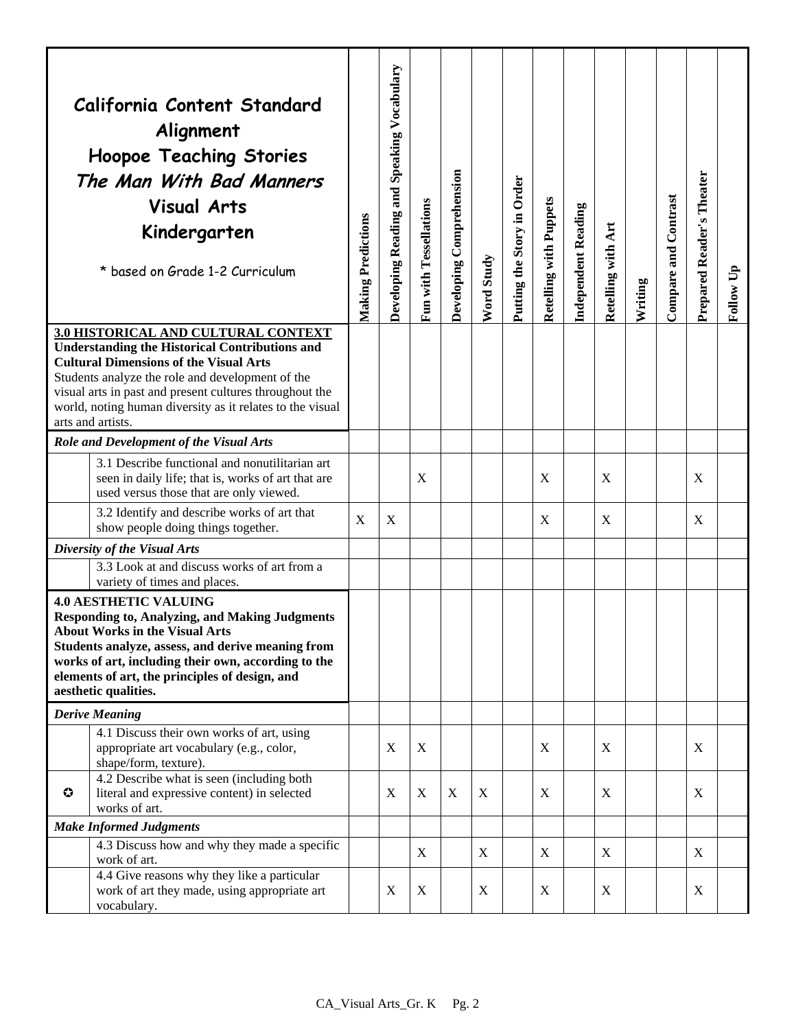|                                | California Content Standard<br>Alignment<br><b>Hoopoe Teaching Stories</b><br>The Man With Bad Manners<br><b>Visual Arts</b><br>Kindergarten<br>* based on Grade 1-2 Curriculum                                                                                                                                                                | <b>Making Predictions</b> | Speaking Vocabulary<br>Developing Reading and | Fun with Tessellations | Developing Comprehension | Word Study | Putting the Story in Order | <b>Retelling with Puppets</b> | Independent Reading | Retelling with Art        | Writing | Compare and Contrast | Prepared Reader's Theater | Follow Up |
|--------------------------------|------------------------------------------------------------------------------------------------------------------------------------------------------------------------------------------------------------------------------------------------------------------------------------------------------------------------------------------------|---------------------------|-----------------------------------------------|------------------------|--------------------------|------------|----------------------------|-------------------------------|---------------------|---------------------------|---------|----------------------|---------------------------|-----------|
|                                | 3.0 HISTORICAL AND CULTURAL CONTEXT<br><b>Understanding the Historical Contributions and</b><br><b>Cultural Dimensions of the Visual Arts</b><br>Students analyze the role and development of the<br>visual arts in past and present cultures throughout the<br>world, noting human diversity as it relates to the visual<br>arts and artists. |                           |                                               |                        |                          |            |                            |                               |                     |                           |         |                      |                           |           |
|                                | Role and Development of the Visual Arts                                                                                                                                                                                                                                                                                                        |                           |                                               |                        |                          |            |                            |                               |                     |                           |         |                      |                           |           |
|                                | 3.1 Describe functional and nonutilitarian art<br>seen in daily life; that is, works of art that are<br>used versus those that are only viewed.                                                                                                                                                                                                |                           |                                               | X                      |                          |            |                            | X                             |                     | $\boldsymbol{\mathrm{X}}$ |         |                      | X                         |           |
|                                | 3.2 Identify and describe works of art that<br>show people doing things together.                                                                                                                                                                                                                                                              | X                         | X                                             |                        |                          |            |                            | X                             |                     | X                         |         |                      | X                         |           |
|                                | Diversity of the Visual Arts                                                                                                                                                                                                                                                                                                                   |                           |                                               |                        |                          |            |                            |                               |                     |                           |         |                      |                           |           |
|                                | 3.3 Look at and discuss works of art from a<br>variety of times and places.                                                                                                                                                                                                                                                                    |                           |                                               |                        |                          |            |                            |                               |                     |                           |         |                      |                           |           |
|                                | <b>4.0 AESTHETIC VALUING</b><br><b>Responding to, Analyzing, and Making Judgments</b><br><b>About Works in the Visual Arts</b><br>Students analyze, assess, and derive meaning from<br>works of art, including their own, according to the<br>elements of art, the principles of design, and<br>aesthetic qualities.                           |                           |                                               |                        |                          |            |                            |                               |                     |                           |         |                      |                           |           |
|                                | <b>Derive Meaning</b>                                                                                                                                                                                                                                                                                                                          |                           |                                               |                        |                          |            |                            |                               |                     |                           |         |                      |                           |           |
|                                | 4.1 Discuss their own works of art, using<br>appropriate art vocabulary (e.g., color,<br>shape/form, texture).                                                                                                                                                                                                                                 |                           | X                                             | X                      |                          |            |                            | X                             |                     | X                         |         |                      | X                         |           |
| $\bf{O}$                       | 4.2 Describe what is seen (including both)<br>literal and expressive content) in selected<br>works of art.                                                                                                                                                                                                                                     |                           | X                                             | $\boldsymbol{X}$       | X                        | X          |                            | X                             |                     | X                         |         |                      | X                         |           |
| <b>Make Informed Judgments</b> |                                                                                                                                                                                                                                                                                                                                                |                           |                                               |                        |                          |            |                            |                               |                     |                           |         |                      |                           |           |
|                                | 4.3 Discuss how and why they made a specific<br>work of art.                                                                                                                                                                                                                                                                                   |                           |                                               | X                      |                          | X          |                            | X                             |                     | X                         |         |                      | X                         |           |
|                                | 4.4 Give reasons why they like a particular<br>work of art they made, using appropriate art<br>vocabulary.                                                                                                                                                                                                                                     |                           | X                                             | X                      |                          | X          |                            | X                             |                     | X                         |         |                      | X                         |           |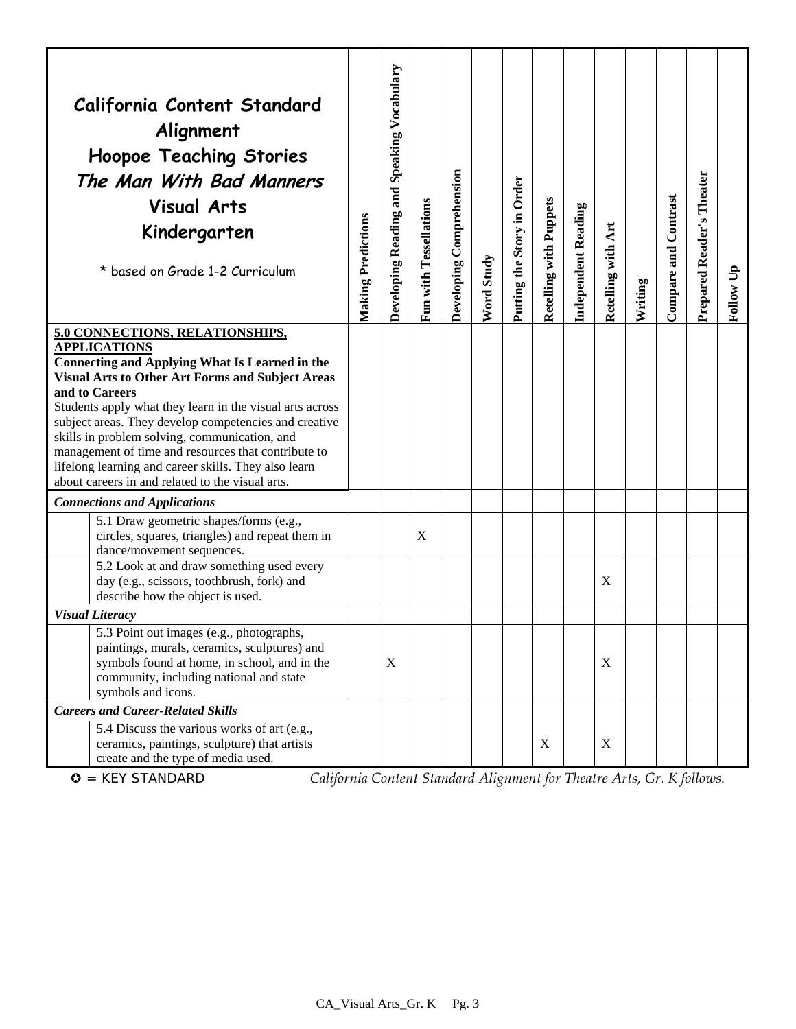|                                                                                                                                                                                                                                                                                                                                                                                                                                                                                                                                       | California Content Standard<br>Alignment<br><b>Hoopoe Teaching Stories</b><br>The Man With Bad Manners<br><b>Visual Arts</b><br>Kindergarten<br>* based on Grade 1-2 Curriculum                                                     | <b>Making Predictions</b> | Developing Reading and Speaking Vocabulary | Fun with Tessellations | Developing Comprehension | Word Study | Putting the Story in Order | <b>Retelling with Puppets</b> | Independent Reading | Retelling with Art | Writing | Compare and Contrast | Prepared Reader's Theater | Follow Up |
|---------------------------------------------------------------------------------------------------------------------------------------------------------------------------------------------------------------------------------------------------------------------------------------------------------------------------------------------------------------------------------------------------------------------------------------------------------------------------------------------------------------------------------------|-------------------------------------------------------------------------------------------------------------------------------------------------------------------------------------------------------------------------------------|---------------------------|--------------------------------------------|------------------------|--------------------------|------------|----------------------------|-------------------------------|---------------------|--------------------|---------|----------------------|---------------------------|-----------|
| 5.0 CONNECTIONS, RELATIONSHIPS,<br><b>APPLICATIONS</b><br><b>Connecting and Applying What Is Learned in the</b><br><b>Visual Arts to Other Art Forms and Subject Areas</b><br>and to Careers<br>Students apply what they learn in the visual arts across<br>subject areas. They develop competencies and creative<br>skills in problem solving, communication, and<br>management of time and resources that contribute to<br>lifelong learning and career skills. They also learn<br>about careers in and related to the visual arts. |                                                                                                                                                                                                                                     |                           |                                            |                        |                          |            |                            |                               |                     |                    |         |                      |                           |           |
|                                                                                                                                                                                                                                                                                                                                                                                                                                                                                                                                       | <b>Connections and Applications</b>                                                                                                                                                                                                 |                           |                                            |                        |                          |            |                            |                               |                     |                    |         |                      |                           |           |
|                                                                                                                                                                                                                                                                                                                                                                                                                                                                                                                                       | 5.1 Draw geometric shapes/forms (e.g.,<br>circles, squares, triangles) and repeat them in<br>dance/movement sequences.<br>5.2 Look at and draw something used every<br>day (e.g., scissors, toothbrush, fork) and                   |                           |                                            | X                      |                          |            |                            |                               |                     | X                  |         |                      |                           |           |
|                                                                                                                                                                                                                                                                                                                                                                                                                                                                                                                                       | describe how the object is used.                                                                                                                                                                                                    |                           |                                            |                        |                          |            |                            |                               |                     |                    |         |                      |                           |           |
|                                                                                                                                                                                                                                                                                                                                                                                                                                                                                                                                       | <b>Visual Literacy</b><br>5.3 Point out images (e.g., photographs,<br>paintings, murals, ceramics, sculptures) and<br>symbols found at home, in school, and in the<br>community, including national and state<br>symbols and icons. |                           | $\boldsymbol{\mathrm{X}}$                  |                        |                          |            |                            |                               |                     | X                  |         |                      |                           |           |
|                                                                                                                                                                                                                                                                                                                                                                                                                                                                                                                                       | <b>Careers and Career-Related Skills</b><br>5.4 Discuss the various works of art (e.g.,<br>ceramics, paintings, sculpture) that artists<br>create and the type of media used.                                                       |                           |                                            |                        |                          |            |                            | X                             |                     | X                  |         |                      |                           |           |

= KEY STANDARD *California Content Standard Alignment for Theatre Arts, Gr. K follows.*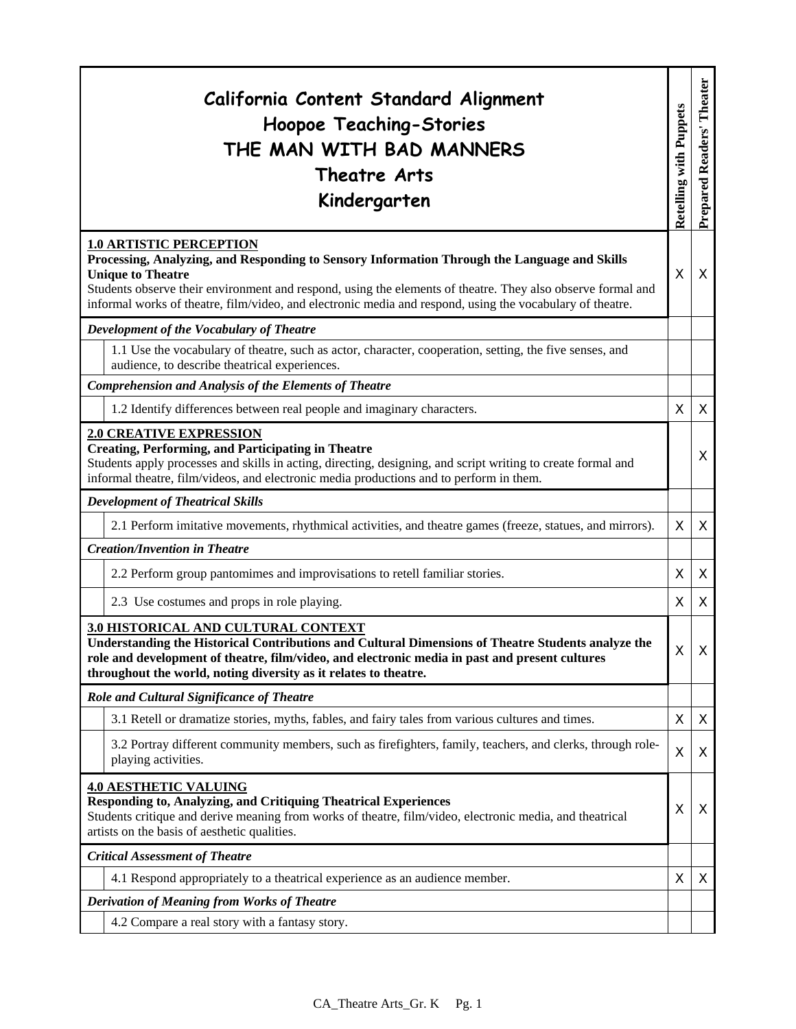| California Content Standard Alignment<br><b>Hoopoe Teaching-Stories</b><br>THE MAN WITH BAD MANNERS<br>Theatre Arts<br>Kindergarten                                                                                                                                                                                                                                                    | <b>Retelling with Puppets</b> | Prepared Readers' Theater |  |  |  |
|----------------------------------------------------------------------------------------------------------------------------------------------------------------------------------------------------------------------------------------------------------------------------------------------------------------------------------------------------------------------------------------|-------------------------------|---------------------------|--|--|--|
| <b>1.0 ARTISTIC PERCEPTION</b><br>Processing, Analyzing, and Responding to Sensory Information Through the Language and Skills<br><b>Unique to Theatre</b><br>Students observe their environment and respond, using the elements of theatre. They also observe formal and<br>informal works of theatre, film/video, and electronic media and respond, using the vocabulary of theatre. | X                             | X                         |  |  |  |
| Development of the Vocabulary of Theatre                                                                                                                                                                                                                                                                                                                                               |                               |                           |  |  |  |
| 1.1 Use the vocabulary of theatre, such as actor, character, cooperation, setting, the five senses, and<br>audience, to describe theatrical experiences.                                                                                                                                                                                                                               |                               |                           |  |  |  |
| <b>Comprehension and Analysis of the Elements of Theatre</b>                                                                                                                                                                                                                                                                                                                           |                               |                           |  |  |  |
| 1.2 Identify differences between real people and imaginary characters.                                                                                                                                                                                                                                                                                                                 | X                             | X                         |  |  |  |
| <b>2.0 CREATIVE EXPRESSION</b><br><b>Creating, Performing, and Participating in Theatre</b><br>Students apply processes and skills in acting, directing, designing, and script writing to create formal and<br>informal theatre, film/videos, and electronic media productions and to perform in them.                                                                                 |                               | X                         |  |  |  |
| <b>Development of Theatrical Skills</b>                                                                                                                                                                                                                                                                                                                                                |                               |                           |  |  |  |
| 2.1 Perform imitative movements, rhythmical activities, and theatre games (freeze, statues, and mirrors).                                                                                                                                                                                                                                                                              | X                             | X                         |  |  |  |
| <b>Creation/Invention in Theatre</b>                                                                                                                                                                                                                                                                                                                                                   |                               |                           |  |  |  |
| 2.2 Perform group pantomimes and improvisations to retell familiar stories.                                                                                                                                                                                                                                                                                                            | X                             | X                         |  |  |  |
| 2.3 Use costumes and props in role playing.                                                                                                                                                                                                                                                                                                                                            | X                             | X                         |  |  |  |
| 3.0 HISTORICAL AND CULTURAL CONTEXT<br>Understanding the Historical Contributions and Cultural Dimensions of Theatre Students analyze the<br>role and development of theatre, film/video, and electronic media in past and present cultures<br>throughout the world, noting diversity as it relates to theatre.                                                                        | X                             | $\boldsymbol{\mathsf{X}}$ |  |  |  |
| Role and Cultural Significance of Theatre                                                                                                                                                                                                                                                                                                                                              |                               |                           |  |  |  |
| 3.1 Retell or dramatize stories, myths, fables, and fairy tales from various cultures and times.                                                                                                                                                                                                                                                                                       | X                             | X                         |  |  |  |
| 3.2 Portray different community members, such as firefighters, family, teachers, and clerks, through role-<br>playing activities.                                                                                                                                                                                                                                                      | X                             | X                         |  |  |  |
| <b>4.0 AESTHETIC VALUING</b><br>Responding to, Analyzing, and Critiquing Theatrical Experiences<br>Students critique and derive meaning from works of theatre, film/video, electronic media, and theatrical<br>artists on the basis of aesthetic qualities.                                                                                                                            |                               |                           |  |  |  |
| <b>Critical Assessment of Theatre</b>                                                                                                                                                                                                                                                                                                                                                  |                               |                           |  |  |  |
| 4.1 Respond appropriately to a theatrical experience as an audience member.                                                                                                                                                                                                                                                                                                            | X                             | X                         |  |  |  |
| <b>Derivation of Meaning from Works of Theatre</b>                                                                                                                                                                                                                                                                                                                                     |                               |                           |  |  |  |
| 4.2 Compare a real story with a fantasy story.                                                                                                                                                                                                                                                                                                                                         |                               |                           |  |  |  |